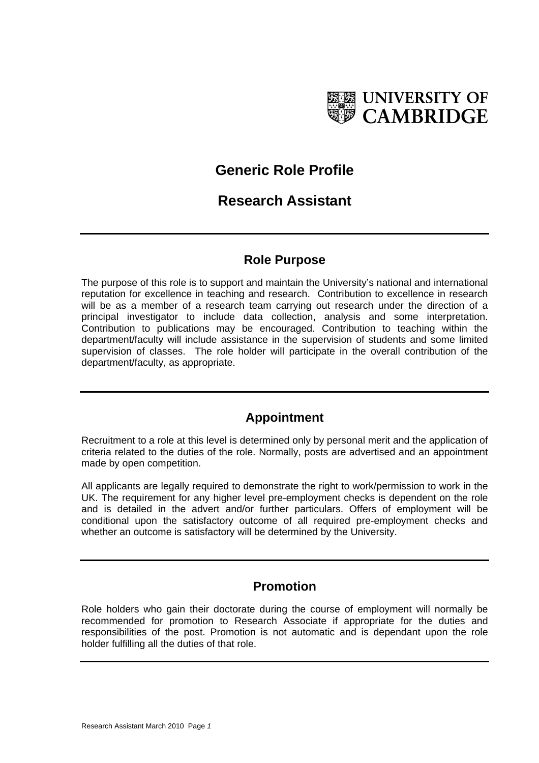

# **Generic Role Profile**

# **Research Assistant**

### **Role Purpose**

The purpose of this role is to support and maintain the University's national and international reputation for excellence in teaching and research. Contribution to excellence in research will be as a member of a research team carrying out research under the direction of a principal investigator to include data collection, analysis and some interpretation. Contribution to publications may be encouraged. Contribution to teaching within the department/faculty will include assistance in the supervision of students and some limited supervision of classes. The role holder will participate in the overall contribution of the department/faculty, as appropriate.

## **Appointment**

Recruitment to a role at this level is determined only by personal merit and the application of criteria related to the duties of the role. Normally, posts are advertised and an appointment made by open competition.

All applicants are legally required to demonstrate the right to work/permission to work in the UK. The requirement for any higher level pre-employment checks is dependent on the role and is detailed in the advert and/or further particulars. Offers of employment will be conditional upon the satisfactory outcome of all required pre-employment checks and whether an outcome is satisfactory will be determined by the University.

## **Promotion**

Role holders who gain their doctorate during the course of employment will normally be recommended for promotion to Research Associate if appropriate for the duties and responsibilities of the post. Promotion is not automatic and is dependant upon the role holder fulfilling all the duties of that role.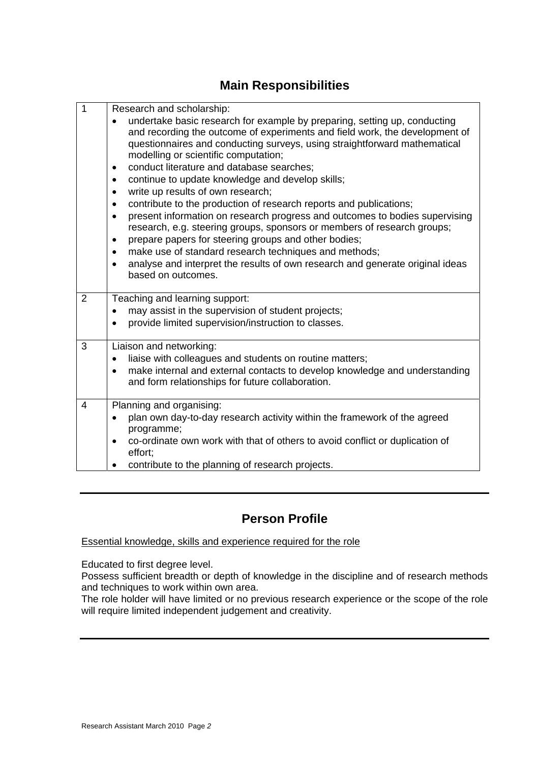## **Main Responsibilities**

| 1              |                                                                                                                                                                                                                                                                                                                                                                                                                                                                                                                                                                                                                                                                                                                                                                                                                                                                                                                                                                                                     |
|----------------|-----------------------------------------------------------------------------------------------------------------------------------------------------------------------------------------------------------------------------------------------------------------------------------------------------------------------------------------------------------------------------------------------------------------------------------------------------------------------------------------------------------------------------------------------------------------------------------------------------------------------------------------------------------------------------------------------------------------------------------------------------------------------------------------------------------------------------------------------------------------------------------------------------------------------------------------------------------------------------------------------------|
|                | Research and scholarship:<br>undertake basic research for example by preparing, setting up, conducting<br>and recording the outcome of experiments and field work, the development of<br>questionnaires and conducting surveys, using straightforward mathematical<br>modelling or scientific computation;<br>conduct literature and database searches;<br>$\bullet$<br>continue to update knowledge and develop skills;<br>$\bullet$<br>write up results of own research;<br>$\bullet$<br>contribute to the production of research reports and publications;<br>$\bullet$<br>present information on research progress and outcomes to bodies supervising<br>$\bullet$<br>research, e.g. steering groups, sponsors or members of research groups;<br>prepare papers for steering groups and other bodies;<br>$\bullet$<br>make use of standard research techniques and methods;<br>$\bullet$<br>analyse and interpret the results of own research and generate original ideas<br>based on outcomes. |
| $\overline{2}$ | Teaching and learning support:<br>may assist in the supervision of student projects;<br>$\bullet$<br>provide limited supervision/instruction to classes.                                                                                                                                                                                                                                                                                                                                                                                                                                                                                                                                                                                                                                                                                                                                                                                                                                            |
| 3              | Liaison and networking:<br>liaise with colleagues and students on routine matters;<br>make internal and external contacts to develop knowledge and understanding<br>$\bullet$<br>and form relationships for future collaboration.                                                                                                                                                                                                                                                                                                                                                                                                                                                                                                                                                                                                                                                                                                                                                                   |
| $\overline{4}$ | Planning and organising:<br>plan own day-to-day research activity within the framework of the agreed<br>programme;<br>co-ordinate own work with that of others to avoid conflict or duplication of<br>effort;<br>contribute to the planning of research projects.                                                                                                                                                                                                                                                                                                                                                                                                                                                                                                                                                                                                                                                                                                                                   |

## **Person Profile**

Essential knowledge, skills and experience required for the role

Educated to first degree level.

Possess sufficient breadth or depth of knowledge in the discipline and of research methods and techniques to work within own area.

The role holder will have limited or no previous research experience or the scope of the role will require limited independent judgement and creativity.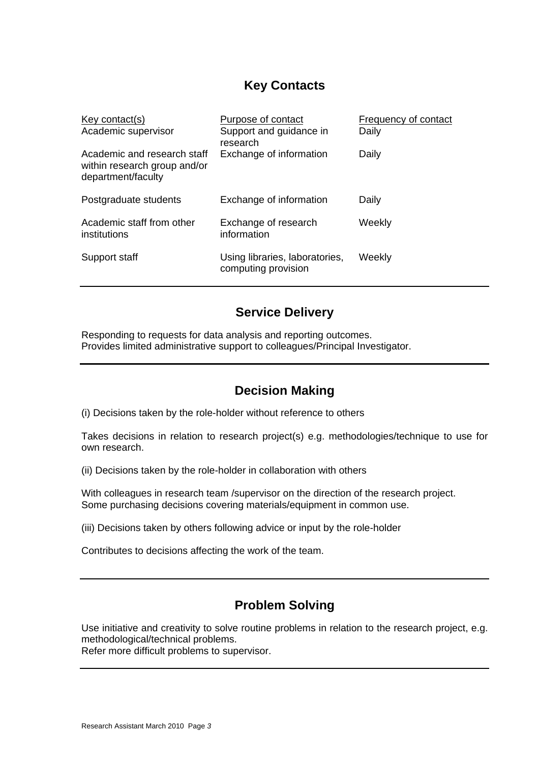## **Key Contacts**

| Key contact(s)<br>Academic supervisor                                             | Purpose of contact<br>Support and guidance in<br>research | Frequency of contact<br>Daily |
|-----------------------------------------------------------------------------------|-----------------------------------------------------------|-------------------------------|
| Academic and research staff<br>within research group and/or<br>department/faculty | Exchange of information                                   | Daily                         |
| Postgraduate students                                                             | Exchange of information                                   | Daily                         |
| Academic staff from other<br>institutions                                         | Exchange of research<br>information                       | Weekly                        |
| Support staff                                                                     | Using libraries, laboratories,<br>computing provision     | Weekly                        |

### **Service Delivery**

Responding to requests for data analysis and reporting outcomes. Provides limited administrative support to colleagues/Principal Investigator.

## **Decision Making**

(i) Decisions taken by the role-holder without reference to others

Takes decisions in relation to research project(s) e.g. methodologies/technique to use for own research.

(ii) Decisions taken by the role-holder in collaboration with others

With colleagues in research team /supervisor on the direction of the research project. Some purchasing decisions covering materials/equipment in common use.

(iii) Decisions taken by others following advice or input by the role-holder

Contributes to decisions affecting the work of the team.

## **Problem Solving**

Use initiative and creativity to solve routine problems in relation to the research project, e.g. methodological/technical problems.

Refer more difficult problems to supervisor.